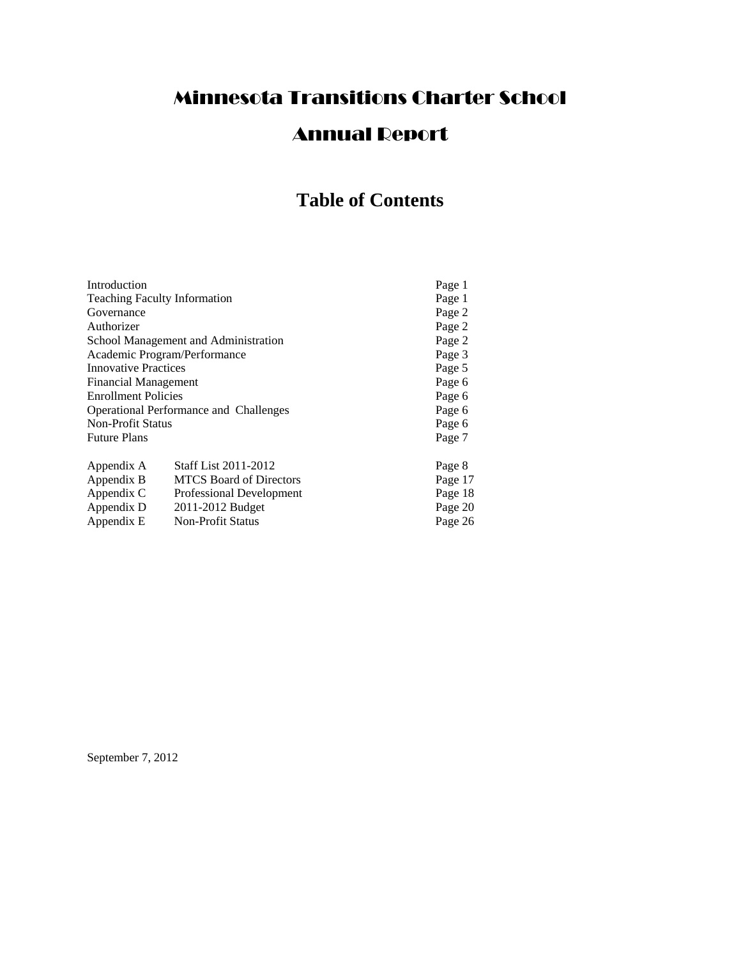# Minnesota Transitions Charter School

# Annual Report

# **Table of Contents**

| Introduction                           |                                | Page 1  |
|----------------------------------------|--------------------------------|---------|
| <b>Teaching Faculty Information</b>    |                                | Page 1  |
| Governance                             |                                | Page 2  |
| Authorizer                             |                                | Page 2  |
| School Management and Administration   |                                | Page 2  |
| Academic Program/Performance           |                                | Page 3  |
| <b>Innovative Practices</b>            |                                | Page 5  |
| <b>Financial Management</b>            |                                | Page 6  |
| <b>Enrollment Policies</b>             |                                | Page 6  |
| Operational Performance and Challenges |                                | Page 6  |
| <b>Non-Profit Status</b>               |                                | Page 6  |
| <b>Future Plans</b>                    |                                | Page 7  |
| Appendix A                             | <b>Staff List 2011-2012</b>    | Page 8  |
| Appendix B                             | <b>MTCS</b> Board of Directors | Page 17 |
| Appendix C                             | Professional Development       | Page 18 |
| Appendix D                             | 2011-2012 Budget               | Page 20 |
| Appendix E                             | <b>Non-Profit Status</b>       | Page 26 |

September 7, 2012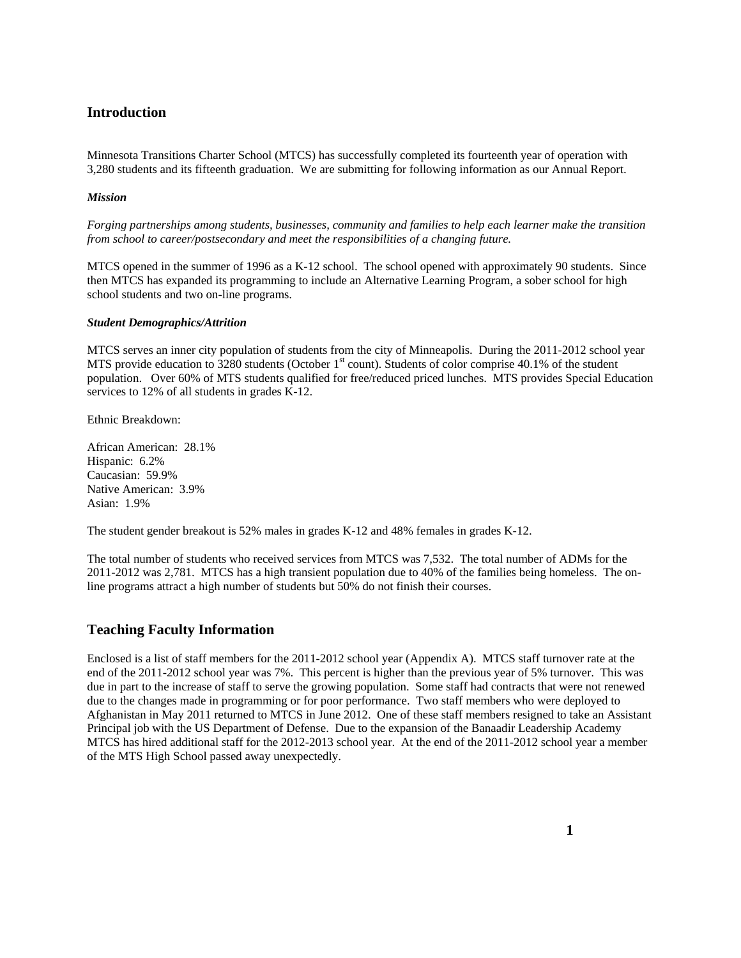# **Introduction**

Minnesota Transitions Charter School (MTCS) has successfully completed its fourteenth year of operation with 3,280 students and its fifteenth graduation. We are submitting for following information as our Annual Report.

#### *Mission*

*Forging partnerships among students, businesses, community and families to help each learner make the transition from school to career/postsecondary and meet the responsibilities of a changing future.* 

MTCS opened in the summer of 1996 as a K-12 school. The school opened with approximately 90 students. Since then MTCS has expanded its programming to include an Alternative Learning Program, a sober school for high school students and two on-line programs.

#### *Student Demographics/Attrition*

MTCS serves an inner city population of students from the city of Minneapolis. During the 2011-2012 school year MTS provide education to  $3280$  students (October 1<sup>st</sup> count). Students of color comprise 40.1% of the student population. Over 60% of MTS students qualified for free/reduced priced lunches. MTS provides Special Education services to 12% of all students in grades K-12.

Ethnic Breakdown:

African American: 28.1% Hispanic: 6.2% Caucasian: 59.9% Native American: 3.9% Asian: 1.9%

The student gender breakout is 52% males in grades K-12 and 48% females in grades K-12.

The total number of students who received services from MTCS was 7,532. The total number of ADMs for the 2011-2012 was 2,781. MTCS has a high transient population due to 40% of the families being homeless. The online programs attract a high number of students but 50% do not finish their courses.

#### **Teaching Faculty Information**

Enclosed is a list of staff members for the 2011-2012 school year (Appendix A). MTCS staff turnover rate at the end of the 2011-2012 school year was 7%. This percent is higher than the previous year of 5% turnover. This was due in part to the increase of staff to serve the growing population. Some staff had contracts that were not renewed due to the changes made in programming or for poor performance. Two staff members who were deployed to Afghanistan in May 2011 returned to MTCS in June 2012. One of these staff members resigned to take an Assistant Principal job with the US Department of Defense. Due to the expansion of the Banaadir Leadership Academy MTCS has hired additional staff for the 2012-2013 school year. At the end of the 2011-2012 school year a member of the MTS High School passed away unexpectedly.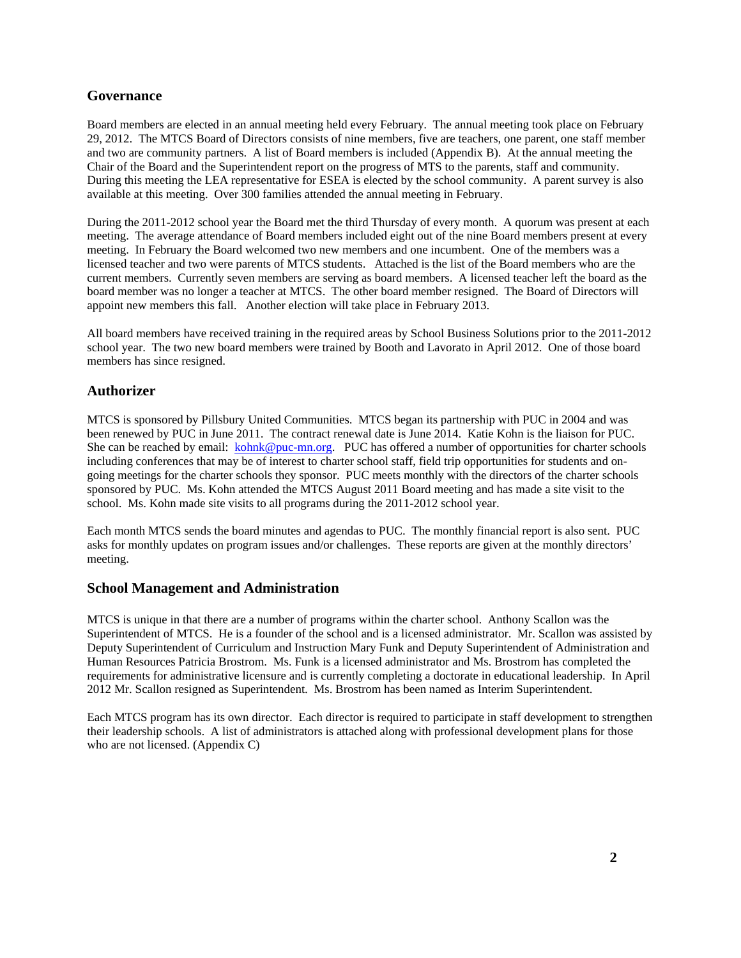# **Governance**

Board members are elected in an annual meeting held every February. The annual meeting took place on February 29, 2012. The MTCS Board of Directors consists of nine members, five are teachers, one parent, one staff member and two are community partners. A list of Board members is included (Appendix B). At the annual meeting the Chair of the Board and the Superintendent report on the progress of MTS to the parents, staff and community. During this meeting the LEA representative for ESEA is elected by the school community. A parent survey is also available at this meeting. Over 300 families attended the annual meeting in February.

During the 2011-2012 school year the Board met the third Thursday of every month. A quorum was present at each meeting. The average attendance of Board members included eight out of the nine Board members present at every meeting. In February the Board welcomed two new members and one incumbent. One of the members was a licensed teacher and two were parents of MTCS students. Attached is the list of the Board members who are the current members. Currently seven members are serving as board members. A licensed teacher left the board as the board member was no longer a teacher at MTCS. The other board member resigned. The Board of Directors will appoint new members this fall. Another election will take place in February 2013.

All board members have received training in the required areas by School Business Solutions prior to the 2011-2012 school year. The two new board members were trained by Booth and Lavorato in April 2012. One of those board members has since resigned.

# **Authorizer**

MTCS is sponsored by Pillsbury United Communities. MTCS began its partnership with PUC in 2004 and was been renewed by PUC in June 2011. The contract renewal date is June 2014. Katie Kohn is the liaison for PUC. She can be reached by email: kohnk@puc-mn.org. PUC has offered a number of opportunities for charter schools including conferences that may be of interest to charter school staff, field trip opportunities for students and ongoing meetings for the charter schools they sponsor. PUC meets monthly with the directors of the charter schools sponsored by PUC. Ms. Kohn attended the MTCS August 2011 Board meeting and has made a site visit to the school. Ms. Kohn made site visits to all programs during the 2011-2012 school year.

Each month MTCS sends the board minutes and agendas to PUC. The monthly financial report is also sent. PUC asks for monthly updates on program issues and/or challenges. These reports are given at the monthly directors' meeting.

#### **School Management and Administration**

MTCS is unique in that there are a number of programs within the charter school. Anthony Scallon was the Superintendent of MTCS. He is a founder of the school and is a licensed administrator. Mr. Scallon was assisted by Deputy Superintendent of Curriculum and Instruction Mary Funk and Deputy Superintendent of Administration and Human Resources Patricia Brostrom. Ms. Funk is a licensed administrator and Ms. Brostrom has completed the requirements for administrative licensure and is currently completing a doctorate in educational leadership. In April 2012 Mr. Scallon resigned as Superintendent. Ms. Brostrom has been named as Interim Superintendent.

Each MTCS program has its own director. Each director is required to participate in staff development to strengthen their leadership schools. A list of administrators is attached along with professional development plans for those who are not licensed. (Appendix C)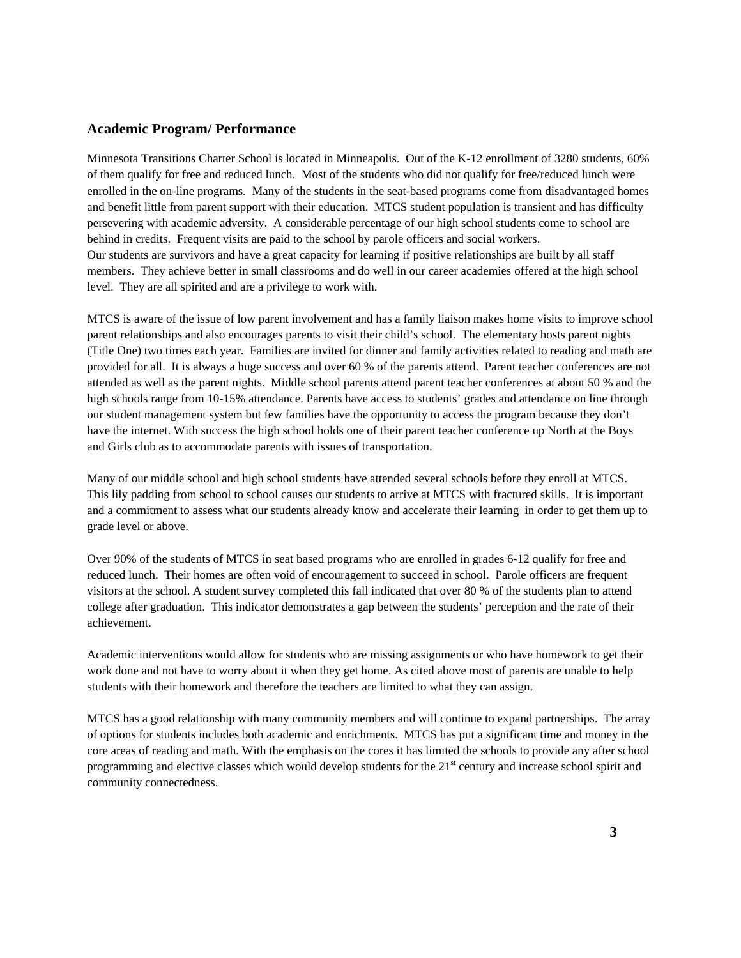#### **Academic Program/ Performance**

Minnesota Transitions Charter School is located in Minneapolis. Out of the K-12 enrollment of 3280 students, 60% of them qualify for free and reduced lunch. Most of the students who did not qualify for free/reduced lunch were enrolled in the on-line programs. Many of the students in the seat-based programs come from disadvantaged homes and benefit little from parent support with their education. MTCS student population is transient and has difficulty persevering with academic adversity. A considerable percentage of our high school students come to school are behind in credits. Frequent visits are paid to the school by parole officers and social workers. Our students are survivors and have a great capacity for learning if positive relationships are built by all staff members. They achieve better in small classrooms and do well in our career academies offered at the high school level. They are all spirited and are a privilege to work with.

MTCS is aware of the issue of low parent involvement and has a family liaison makes home visits to improve school parent relationships and also encourages parents to visit their child's school. The elementary hosts parent nights (Title One) two times each year. Families are invited for dinner and family activities related to reading and math are provided for all. It is always a huge success and over 60 % of the parents attend. Parent teacher conferences are not attended as well as the parent nights. Middle school parents attend parent teacher conferences at about 50 % and the high schools range from 10-15% attendance. Parents have access to students' grades and attendance on line through our student management system but few families have the opportunity to access the program because they don't have the internet. With success the high school holds one of their parent teacher conference up North at the Boys and Girls club as to accommodate parents with issues of transportation.

Many of our middle school and high school students have attended several schools before they enroll at MTCS. This lily padding from school to school causes our students to arrive at MTCS with fractured skills. It is important and a commitment to assess what our students already know and accelerate their learning in order to get them up to grade level or above.

Over 90% of the students of MTCS in seat based programs who are enrolled in grades 6-12 qualify for free and reduced lunch. Their homes are often void of encouragement to succeed in school. Parole officers are frequent visitors at the school. A student survey completed this fall indicated that over 80 % of the students plan to attend college after graduation. This indicator demonstrates a gap between the students' perception and the rate of their achievement.

Academic interventions would allow for students who are missing assignments or who have homework to get their work done and not have to worry about it when they get home. As cited above most of parents are unable to help students with their homework and therefore the teachers are limited to what they can assign.

MTCS has a good relationship with many community members and will continue to expand partnerships. The array of options for students includes both academic and enrichments. MTCS has put a significant time and money in the core areas of reading and math. With the emphasis on the cores it has limited the schools to provide any after school programming and elective classes which would develop students for the  $21<sup>st</sup>$  century and increase school spirit and community connectedness.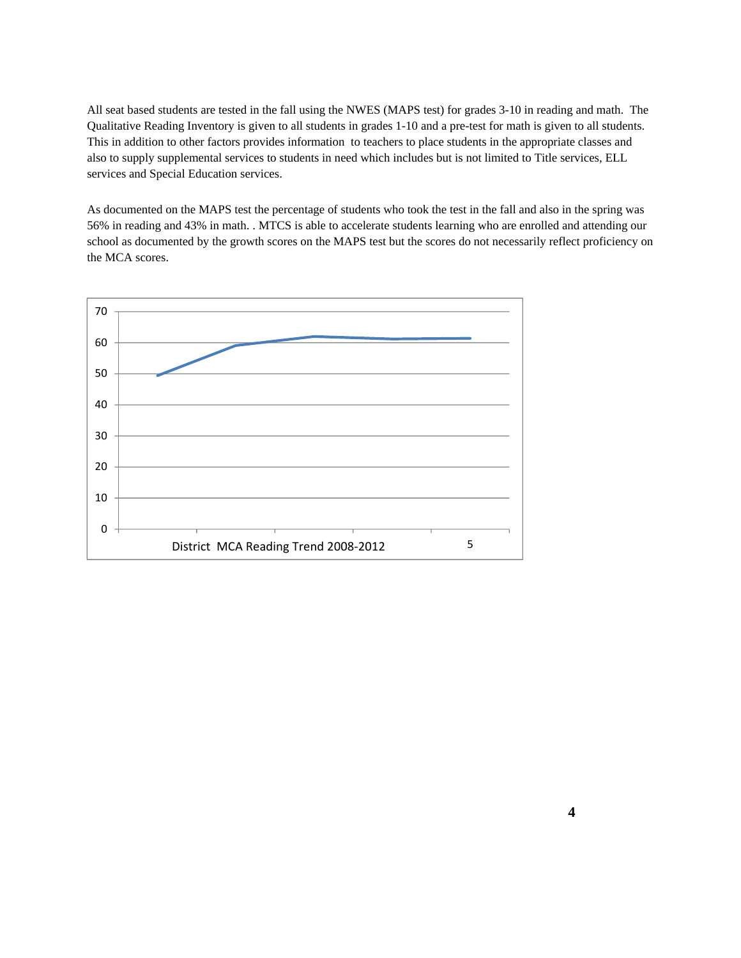All seat based students are tested in the fall using the NWES (MAPS test) for grades 3-10 in reading and math. The Qualitative Reading Inventory is given to all students in grades 1-10 and a pre-test for math is given to all students. This in addition to other factors provides information to teachers to place students in the appropriate classes and also to supply supplemental services to students in need which includes but is not limited to Title services, ELL services and Special Education services.

As documented on the MAPS test the percentage of students who took the test in the fall and also in the spring was 56% in reading and 43% in math. . MTCS is able to accelerate students learning who are enrolled and attending our school as documented by the growth scores on the MAPS test but the scores do not necessarily reflect proficiency on the MCA scores.

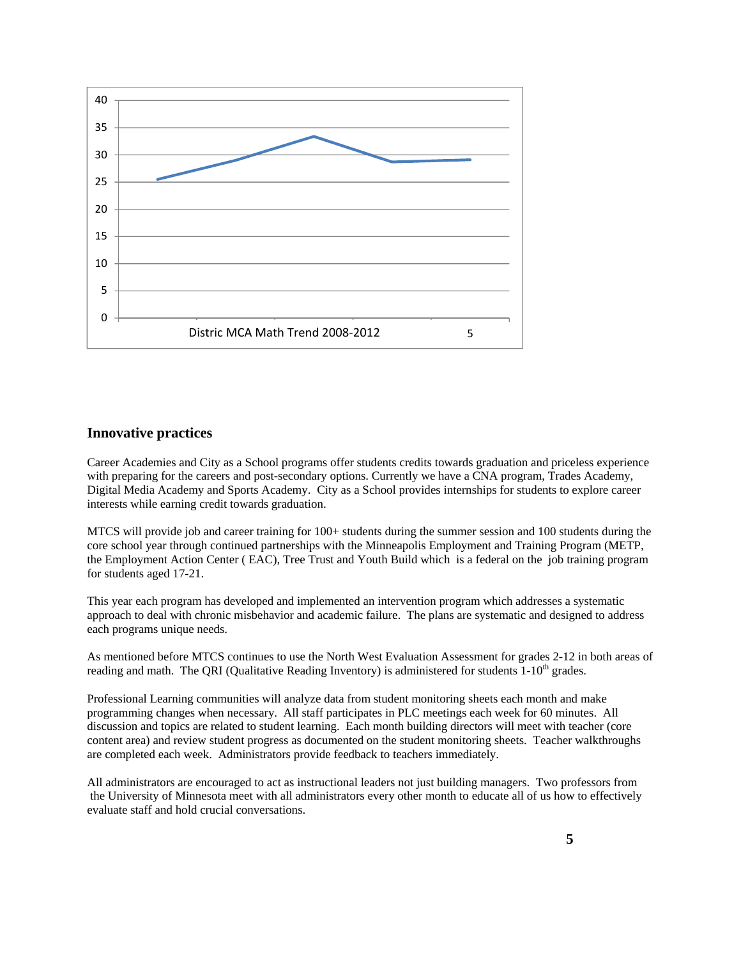

# **Innovative practices**

Career Academies and City as a School programs offer students credits towards graduation and priceless experience with preparing for the careers and post-secondary options. Currently we have a CNA program, Trades Academy, Digital Media Academy and Sports Academy. City as a School provides internships for students to explore career interests while earning credit towards graduation.

 MTCS will provide job and career training for 100+ students during the summer session and 100 students during the core school year through continued partnerships with the Minneapolis Employment and Training Program (METP, the Employment Action Center ( EAC), Tree Trust and Youth Build which is a federal on the job training program for students aged 17-21.

 This year each program has developed and implemented an intervention program which addresses a systematic approach to deal with chronic misbehavior and academic failure. The plans are systematic and designed to address each programs unique needs.

 As mentioned before MTCS continues to use the North West Evaluation Assessment for grades 2-12 in both areas of reading and math. The QRI (Qualitative Reading Inventory) is administered for students  $1\times10^{th}$  grades.

 Professional Learning communities will analyze data from student monitoring sheets each month and make programming changes when necessary. All staff participates in PLC meetings each week for 60 minutes. All discussion and topics are related to student learning. Each month building directors will meet with teacher (core content area) and review student progress as documented on the student monitoring sheets. Teacher walkthroughs are completed each week. Administrators provide feedback to teachers immediately.

 All administrators are encouraged to act as instructional leaders not just building managers. Two professors from the University of Minnesota meet with all administrators every other month to educate all of us how to effectively evaluate staff and hold crucial conversations.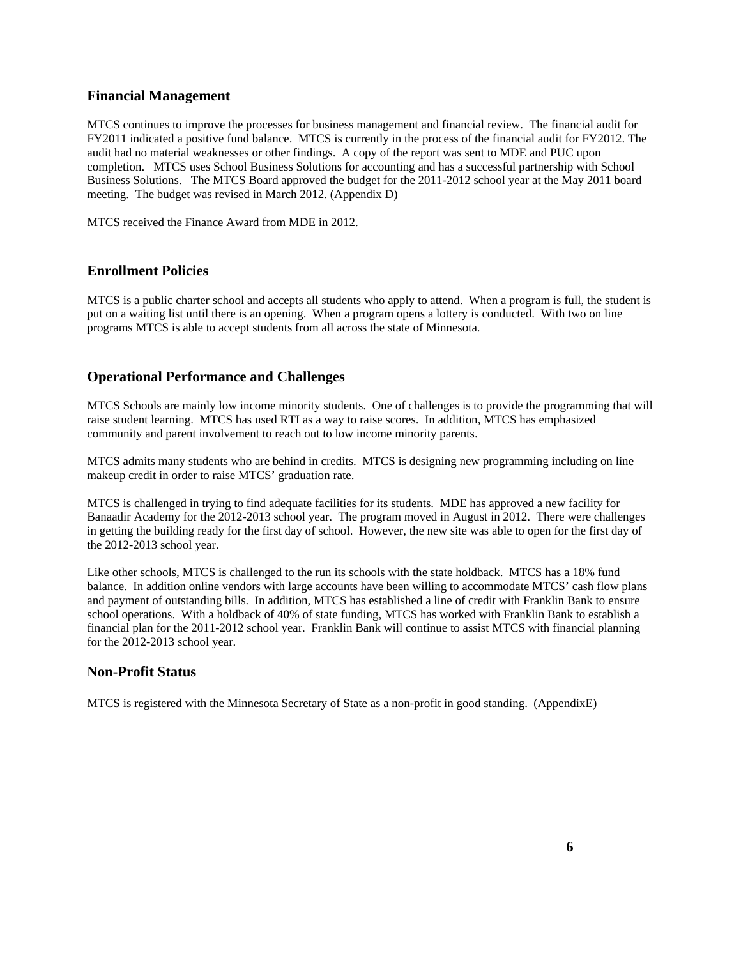#### **Financial Management**

MTCS continues to improve the processes for business management and financial review. The financial audit for FY2011 indicated a positive fund balance. MTCS is currently in the process of the financial audit for FY2012. The audit had no material weaknesses or other findings. A copy of the report was sent to MDE and PUC upon completion. MTCS uses School Business Solutions for accounting and has a successful partnership with School Business Solutions. The MTCS Board approved the budget for the 2011-2012 school year at the May 2011 board meeting. The budget was revised in March 2012. (Appendix D)

MTCS received the Finance Award from MDE in 2012.

#### **Enrollment Policies**

MTCS is a public charter school and accepts all students who apply to attend. When a program is full, the student is put on a waiting list until there is an opening. When a program opens a lottery is conducted. With two on line programs MTCS is able to accept students from all across the state of Minnesota.

#### **Operational Performance and Challenges**

MTCS Schools are mainly low income minority students. One of challenges is to provide the programming that will raise student learning. MTCS has used RTI as a way to raise scores. In addition, MTCS has emphasized community and parent involvement to reach out to low income minority parents.

MTCS admits many students who are behind in credits. MTCS is designing new programming including on line makeup credit in order to raise MTCS' graduation rate.

MTCS is challenged in trying to find adequate facilities for its students. MDE has approved a new facility for Banaadir Academy for the 2012-2013 school year. The program moved in August in 2012. There were challenges in getting the building ready for the first day of school. However, the new site was able to open for the first day of the 2012-2013 school year.

Like other schools, MTCS is challenged to the run its schools with the state holdback. MTCS has a 18% fund balance. In addition online vendors with large accounts have been willing to accommodate MTCS' cash flow plans and payment of outstanding bills. In addition, MTCS has established a line of credit with Franklin Bank to ensure school operations. With a holdback of 40% of state funding, MTCS has worked with Franklin Bank to establish a financial plan for the 2011-2012 school year. Franklin Bank will continue to assist MTCS with financial planning for the 2012-2013 school year.

#### **Non-Profit Status**

MTCS is registered with the Minnesota Secretary of State as a non-profit in good standing. (AppendixE)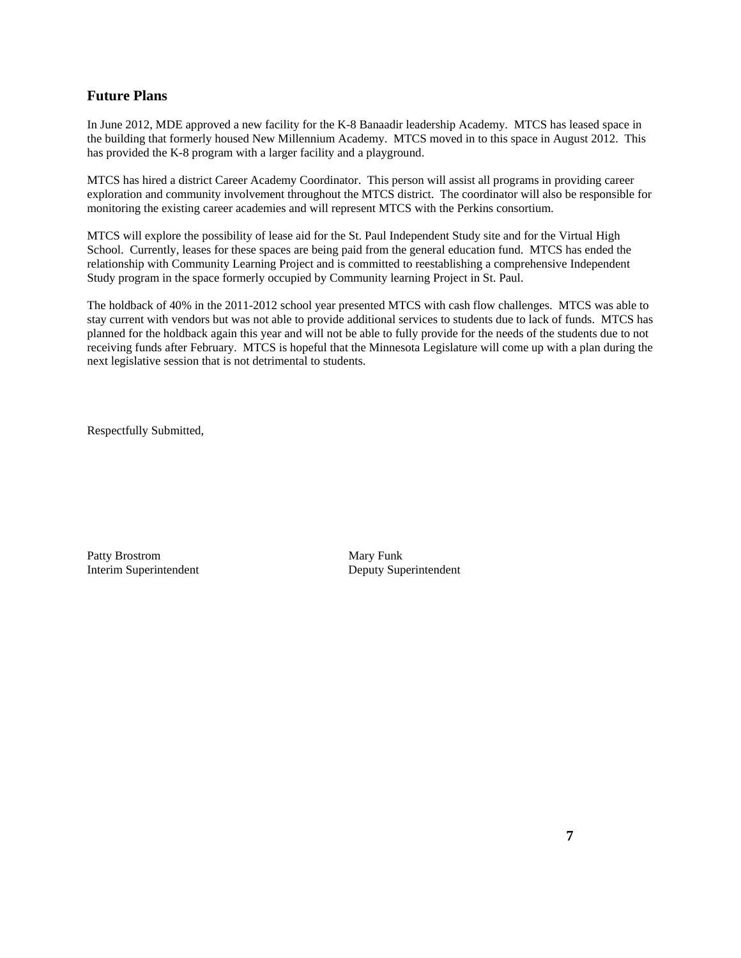# **Future Plans**

In June 2012, MDE approved a new facility for the K-8 Banaadir leadership Academy. MTCS has leased space in the building that formerly housed New Millennium Academy. MTCS moved in to this space in August 2012. This has provided the K-8 program with a larger facility and a playground.

MTCS has hired a district Career Academy Coordinator. This person will assist all programs in providing career exploration and community involvement throughout the MTCS district. The coordinator will also be responsible for monitoring the existing career academies and will represent MTCS with the Perkins consortium.

MTCS will explore the possibility of lease aid for the St. Paul Independent Study site and for the Virtual High School. Currently, leases for these spaces are being paid from the general education fund. MTCS has ended the relationship with Community Learning Project and is committed to reestablishing a comprehensive Independent Study program in the space formerly occupied by Community learning Project in St. Paul.

The holdback of 40% in the 2011-2012 school year presented MTCS with cash flow challenges. MTCS was able to stay current with vendors but was not able to provide additional services to students due to lack of funds. MTCS has planned for the holdback again this year and will not be able to fully provide for the needs of the students due to not receiving funds after February. MTCS is hopeful that the Minnesota Legislature will come up with a plan during the next legislative session that is not detrimental to students.

Respectfully Submitted,

Patty Brostrom Mary Funk Interim Superintendent Deputy Superintendent